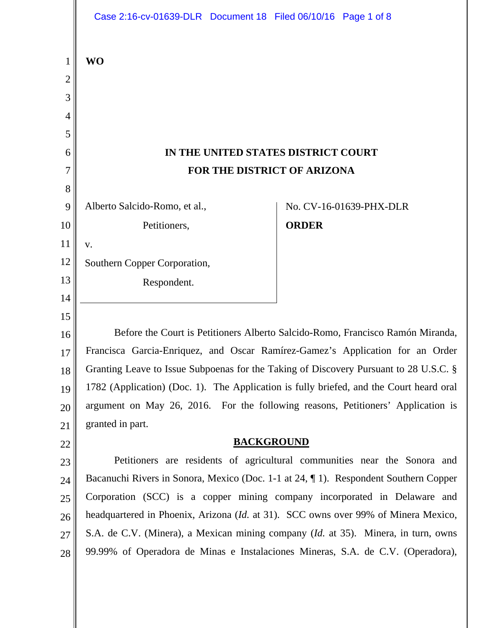|                               | Case 2:16-cv-01639-DLR Document 18 Filed 06/10/16 Page 1 of 8                                                                                                     |              |                         |
|-------------------------------|-------------------------------------------------------------------------------------------------------------------------------------------------------------------|--------------|-------------------------|
| 1<br>$\overline{c}$<br>3<br>4 | <b>WO</b>                                                                                                                                                         |              |                         |
| 5                             |                                                                                                                                                                   |              |                         |
| 6                             | IN THE UNITED STATES DISTRICT COURT                                                                                                                               |              |                         |
| 7                             | FOR THE DISTRICT OF ARIZONA                                                                                                                                       |              |                         |
| 8                             |                                                                                                                                                                   |              |                         |
| 9                             | Alberto Salcido-Romo, et al.,                                                                                                                                     |              | No. CV-16-01639-PHX-DLR |
| 10                            | Petitioners,                                                                                                                                                      | <b>ORDER</b> |                         |
| 11                            | V.                                                                                                                                                                |              |                         |
| 12                            | Southern Copper Corporation,                                                                                                                                      |              |                         |
| 13                            | Respondent.                                                                                                                                                       |              |                         |
| 14                            |                                                                                                                                                                   |              |                         |
| 15                            |                                                                                                                                                                   |              |                         |
| 16                            | Before the Court is Petitioners Alberto Salcido-Romo, Francisco Ramón Miranda,                                                                                    |              |                         |
| 17                            | Francisca Garcia-Enriquez, and Oscar Ramírez-Gamez's Application for an Order                                                                                     |              |                         |
| 18                            | Granting Leave to Issue Subpoenas for the Taking of Discovery Pursuant to 28 U.S.C. §                                                                             |              |                         |
| 19                            | 1782 (Application) (Doc. 1). The Application is fully briefed, and the Court heard oral                                                                           |              |                         |
| 20                            | argument on May 26, 2016. For the following reasons, Petitioners' Application is                                                                                  |              |                         |
| 21                            | granted in part.                                                                                                                                                  |              |                         |
| 22                            | <b>BACKGROUND</b>                                                                                                                                                 |              |                         |
| 23                            | Petitioners are residents of agricultural communities near the Sonora and                                                                                         |              |                         |
| 24                            | Bacanuchi Rivers in Sonora, Mexico (Doc. 1-1 at 24, ¶ 1). Respondent Southern Copper<br>Corporation (SCC) is a copper mining company incorporated in Delaware and |              |                         |
| 25                            | headquartered in Phoenix, Arizona (Id. at 31). SCC owns over 99% of Minera Mexico,                                                                                |              |                         |
| 26                            | S.A. de C.V. (Minera), a Mexican mining company ( <i>Id.</i> at 35). Minera, in turn, owns                                                                        |              |                         |
| 27                            | 99.99% of Operadora de Minas e Instalaciones Mineras, S.A. de C.V. (Operadora),                                                                                   |              |                         |
| 28                            |                                                                                                                                                                   |              |                         |
|                               |                                                                                                                                                                   |              |                         |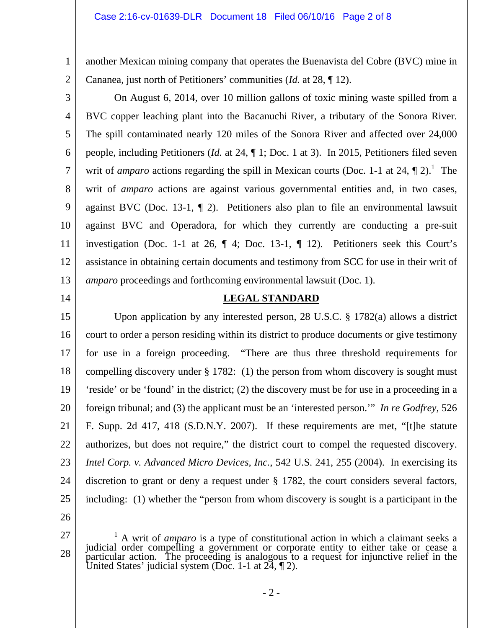another Mexican mining company that operates the Buenavista del Cobre (BVC) mine in Cananea, just north of Petitioners' communities (*Id.* at 28, ¶ 12).

 On August 6, 2014, over 10 million gallons of toxic mining waste spilled from a BVC copper leaching plant into the Bacanuchi River, a tributary of the Sonora River. The spill contaminated nearly 120 miles of the Sonora River and affected over 24,000 people, including Petitioners (*Id.* at 24, ¶ 1; Doc. 1 at 3). In 2015, Petitioners filed seven writ of *amparo* actions regarding the spill in Mexican courts (Doc. 1-1 at 24,  $\P$  2).<sup>1</sup> The writ of *amparo* actions are against various governmental entities and, in two cases, against BVC (Doc. 13-1, ¶ 2). Petitioners also plan to file an environmental lawsuit against BVC and Operadora, for which they currently are conducting a pre-suit investigation (Doc. 1-1 at 26, ¶ 4; Doc. 13-1, ¶ 12). Petitioners seek this Court's assistance in obtaining certain documents and testimony from SCC for use in their writ of *amparo* proceedings and forthcoming environmental lawsuit (Doc. 1).

14

1

2

3

4

5

6

7

8

9

10

11

12

13

# **LEGAL STANDARD**

15 16 17 18 19 20 21 22 23 24 25 Upon application by any interested person, 28 U.S.C. § 1782(a) allows a district court to order a person residing within its district to produce documents or give testimony for use in a foreign proceeding. "There are thus three threshold requirements for compelling discovery under § 1782: (1) the person from whom discovery is sought must 'reside' or be 'found' in the district; (2) the discovery must be for use in a proceeding in a foreign tribunal; and (3) the applicant must be an 'interested person.'" *In re Godfrey*, 526 F. Supp. 2d 417, 418 (S.D.N.Y. 2007). If these requirements are met, "[t]he statute authorizes, but does not require," the district court to compel the requested discovery. *Intel Corp. v. Advanced Micro Devices, Inc.*, 542 U.S. 241, 255 (2004). In exercising its discretion to grant or deny a request under § 1782, the court considers several factors, including: (1) whether the "person from whom discovery is sought is a participant in the

26

<sup>27</sup>  28 <sup>1</sup> A writ of *amparo* is a type of constitutional action in which a claimant seeks a judicial order compelling a government or corporate entity to either take or cease a particular action. The proceeding is analogous to a request for injunctive relief in the United States' judicial system (Doc. 1-1 at 24, ¶ 2).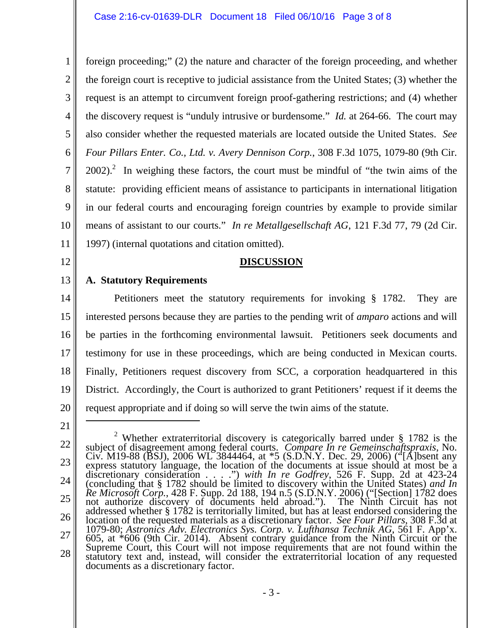1 2 3 4 5 6 7 8 9 10 11 foreign proceeding;" (2) the nature and character of the foreign proceeding, and whether the foreign court is receptive to judicial assistance from the United States; (3) whether the request is an attempt to circumvent foreign proof-gathering restrictions; and (4) whether the discovery request is "unduly intrusive or burdensome." *Id.* at 264-66. The court may also consider whether the requested materials are located outside the United States. *See Four Pillars Enter. Co., Ltd. v. Avery Dennison Corp.*, 308 F.3d 1075, 1079-80 (9th Cir.  $2002$ ).<sup>2</sup> In weighing these factors, the court must be mindful of "the twin aims of the statute: providing efficient means of assistance to participants in international litigation in our federal courts and encouraging foreign countries by example to provide similar means of assistant to our courts." *In re Metallgesellschaft AG*, 121 F.3d 77, 79 (2d Cir. 1997) (internal quotations and citation omitted).

12

# **DISCUSSION**

#### 13 **A. Statutory Requirements**

14 15 16 17 18 19 20 Petitioners meet the statutory requirements for invoking § 1782. They are interested persons because they are parties to the pending writ of *amparo* actions and will be parties in the forthcoming environmental lawsuit. Petitioners seek documents and testimony for use in these proceedings, which are being conducted in Mexican courts. Finally, Petitioners request discovery from SCC, a corporation headquartered in this District. Accordingly, the Court is authorized to grant Petitioners' request if it deems the request appropriate and if doing so will serve the twin aims of the statute.

21

 $\overline{a}$ 

<sup>22</sup>  23 24 25 26 27 28 <sup>2</sup> Whether extraterritorial discovery is categorically barred under § 1782 is the Whether extraterritorial discovery is categorically barred under § 1782 is the subject of disagreement among federal courts. *Compare In re Gemeinschaftspraxis*, No. Civ. M19-88 (BSJ), 2006 WL 3844464, at \*5 (S.D.N.Y. Dec. 29, 2006) ("[A]bsent any express statutory language, the location of the documents at issue should at most be a discretionary consideration . . . .") *with In re Godfrey*, 526 F. Supp. 2d at 423-24 (concluding that § 1782 should be limited to discovery within the United States) *and In Re Microsoft Corp.*, 428 F. Supp. 2d 188, 194 n.5 (S.D.N.Y. 2006) ("[Section] 1782 does not authorize discovery of documents held abroad."). The Ninth Circuit has not addressed whether § 1782 is territorially limited, but has at least endorsed considering the location of the requested materials as a discretionary factor. *See Four Pillars*, 308 F.3d at 1079-80; *Astronics Adv. Electronics Sys. Corp. v. Lufthansa Technik AG*, 561 F. App'x. 605, at \*606 (9th Cir. 2014). Absent contrary guidance from the Ninth Circuit or the Supreme Court, this Court will not impose requirements that are not found within the statutory text and, instead, will consider the extraterritorial location of any requested documents as a discretionary factor.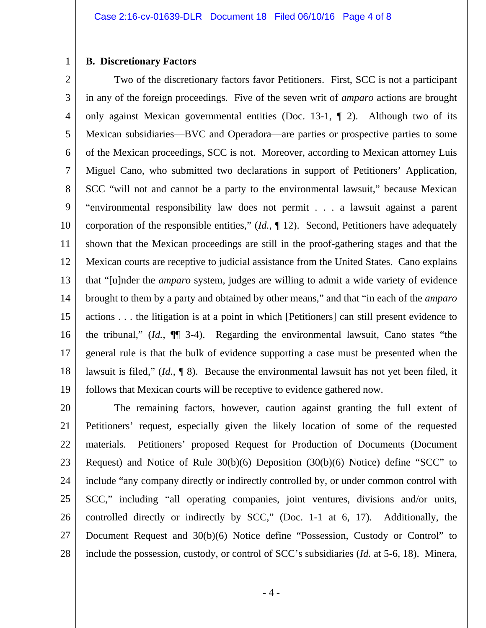### **B. Discretionary Factors**

1

2 3 4 5 6 7 8 9 10 11 12 13 14 15 16 17 18 19 Two of the discretionary factors favor Petitioners. First, SCC is not a participant in any of the foreign proceedings. Five of the seven writ of *amparo* actions are brought only against Mexican governmental entities (Doc. 13-1, ¶ 2). Although two of its Mexican subsidiaries—BVC and Operadora—are parties or prospective parties to some of the Mexican proceedings, SCC is not. Moreover, according to Mexican attorney Luis Miguel Cano, who submitted two declarations in support of Petitioners' Application, SCC "will not and cannot be a party to the environmental lawsuit," because Mexican "environmental responsibility law does not permit . . . a lawsuit against a parent corporation of the responsible entities," (*Id.*, ¶ 12). Second, Petitioners have adequately shown that the Mexican proceedings are still in the proof-gathering stages and that the Mexican courts are receptive to judicial assistance from the United States. Cano explains that "[u]nder the *amparo* system, judges are willing to admit a wide variety of evidence brought to them by a party and obtained by other means," and that "in each of the *amparo* actions . . . the litigation is at a point in which [Petitioners] can still present evidence to the tribunal," (*Id.*, ¶¶ 3-4). Regarding the environmental lawsuit, Cano states "the general rule is that the bulk of evidence supporting a case must be presented when the lawsuit is filed," (*Id.*, ¶ 8). Because the environmental lawsuit has not yet been filed, it follows that Mexican courts will be receptive to evidence gathered now.

20 21 22 23 24 25 26 27 28 The remaining factors, however, caution against granting the full extent of Petitioners' request, especially given the likely location of some of the requested materials. Petitioners' proposed Request for Production of Documents (Document Request) and Notice of Rule 30(b)(6) Deposition (30(b)(6) Notice) define "SCC" to include "any company directly or indirectly controlled by, or under common control with SCC," including "all operating companies, joint ventures, divisions and/or units, controlled directly or indirectly by SCC," (Doc. 1-1 at 6, 17). Additionally, the Document Request and 30(b)(6) Notice define "Possession, Custody or Control" to include the possession, custody, or control of SCC's subsidiaries (*Id.* at 5-6, 18). Minera,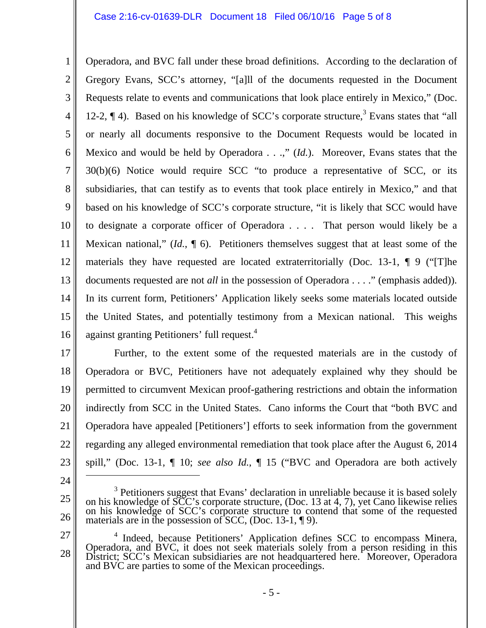## Case 2:16-cv-01639-DLR Document 18 Filed 06/10/16 Page 5 of 8

1 2 3 4 5 6 7 8 9 10 11 12 13 14 15 16 Operadora, and BVC fall under these broad definitions. According to the declaration of Gregory Evans, SCC's attorney, "[a]ll of the documents requested in the Document Requests relate to events and communications that look place entirely in Mexico," (Doc. 12-2,  $\P$  4). Based on his knowledge of SCC's corporate structure,<sup>3</sup> Evans states that "all or nearly all documents responsive to the Document Requests would be located in Mexico and would be held by Operadora . . .," (*Id.*). Moreover, Evans states that the 30(b)(6) Notice would require SCC "to produce a representative of SCC, or its subsidiaries, that can testify as to events that took place entirely in Mexico," and that based on his knowledge of SCC's corporate structure, "it is likely that SCC would have to designate a corporate officer of Operadora . . . . That person would likely be a Mexican national," (*Id.*, ¶ 6). Petitioners themselves suggest that at least some of the materials they have requested are located extraterritorially (Doc. 13-1, ¶ 9 ("[T]he documents requested are not *all* in the possession of Operadora . . . ." (emphasis added)). In its current form, Petitioners' Application likely seeks some materials located outside the United States, and potentially testimony from a Mexican national. This weighs against granting Petitioners' full request.<sup>4</sup>

17 18 19 20 21 22 23 Further, to the extent some of the requested materials are in the custody of Operadora or BVC, Petitioners have not adequately explained why they should be permitted to circumvent Mexican proof-gathering restrictions and obtain the information indirectly from SCC in the United States. Cano informs the Court that "both BVC and Operadora have appealed [Petitioners'] efforts to seek information from the government regarding any alleged environmental remediation that took place after the August 6, 2014 spill," (Doc. 13-1, ¶ 10; *see also Id.*, ¶ 15 ("BVC and Operadora are both actively

24

 $\overline{a}$ 

25 26

<sup>&</sup>lt;sup>3</sup> Petitioners suggest that Evans' declaration in unreliable because it is based solely on his knowledge of SCC's corporate structure, (Doc. 13 at 4, 7), yet Cano likewise relies<br>on his knowledge of SCC's corporate structure to contend that some of the requested<br>materials are in the possession of SCC, (Doc.

<sup>27</sup>  28 <sup>4</sup> Indeed, because Petitioners' Application defines SCC to encompass Minera, Operadora, and BVC, it does not seek materials solely from a person residing in this District; SCC's Mexican subsidiaries are not headquartered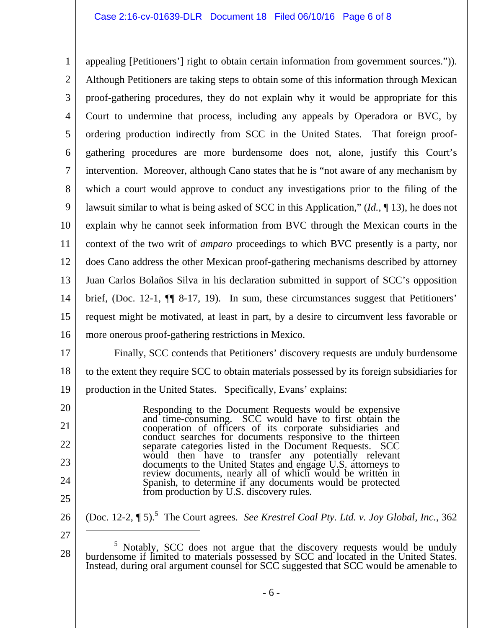## Case 2:16-cv-01639-DLR Document 18 Filed 06/10/16 Page 6 of 8

1 2 3 4 5 6 7 8 9 10 11 12 13 14 15 16 appealing [Petitioners'] right to obtain certain information from government sources.")). Although Petitioners are taking steps to obtain some of this information through Mexican proof-gathering procedures, they do not explain why it would be appropriate for this Court to undermine that process, including any appeals by Operadora or BVC, by ordering production indirectly from SCC in the United States. That foreign proofgathering procedures are more burdensome does not, alone, justify this Court's intervention. Moreover, although Cano states that he is "not aware of any mechanism by which a court would approve to conduct any investigations prior to the filing of the lawsuit similar to what is being asked of SCC in this Application," (*Id.*, ¶ 13), he does not explain why he cannot seek information from BVC through the Mexican courts in the context of the two writ of *amparo* proceedings to which BVC presently is a party, nor does Cano address the other Mexican proof-gathering mechanisms described by attorney Juan Carlos Bolaños Silva in his declaration submitted in support of SCC's opposition brief, (Doc. 12-1, ¶¶ 8-17, 19). In sum, these circumstances suggest that Petitioners' request might be motivated, at least in part, by a desire to circumvent less favorable or more onerous proof-gathering restrictions in Mexico.

17 18 19 Finally, SCC contends that Petitioners' discovery requests are unduly burdensome to the extent they require SCC to obtain materials possessed by its foreign subsidiaries for production in the United States. Specifically, Evans' explains:

> Responding to the Document Requests would be expensive and time-consuming. SCC would have to first obtain the conduct searches for documents responsive to the thirteen<br>separate categories listed in the Document Requests. SCC<br>would then have to transfer any potentially relevant<br>documents to the United States and engage U.S. attorne Spanish, to determine if any documents would be protected from production by U.S. discovery rules.

25 26

20

21

22

23

24

(Doc. 12-2,  $\P$  5).<sup>5</sup> The Court agrees. See Krestrel Coal Pty. Ltd. v. Joy Global, Inc., 362  $\overline{a}$ 

<sup>27</sup> 

<sup>28</sup>  <sup>5</sup> Notably, SCC does not argue that the discovery requests would be unduly <sup>5</sup> Notably, SCC does not argue that the discovery requests would be unduly burdensome if limited to materials possessed by SCC and located in the United States. Instead, during oral argument counsel for SCC suggested that SCC would be amenable to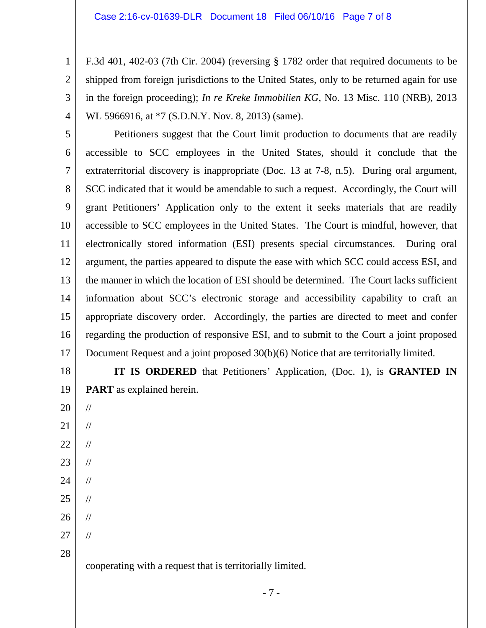F.3d 401, 402-03 (7th Cir. 2004) (reversing § 1782 order that required documents to be shipped from foreign jurisdictions to the United States, only to be returned again for use in the foreign proceeding); *In re Kreke Immobilien KG*, No. 13 Misc. 110 (NRB), 2013 WL 5966916, at  $*7$  (S.D.N.Y. Nov. 8, 2013) (same).

5 6 7 8 9 10 11 12 13 14 15 16 17 Petitioners suggest that the Court limit production to documents that are readily accessible to SCC employees in the United States, should it conclude that the extraterritorial discovery is inappropriate (Doc. 13 at 7-8, n.5). During oral argument, SCC indicated that it would be amendable to such a request. Accordingly, the Court will grant Petitioners' Application only to the extent it seeks materials that are readily accessible to SCC employees in the United States. The Court is mindful, however, that electronically stored information (ESI) presents special circumstances. During oral argument, the parties appeared to dispute the ease with which SCC could access ESI, and the manner in which the location of ESI should be determined. The Court lacks sufficient information about SCC's electronic storage and accessibility capability to craft an appropriate discovery order. Accordingly, the parties are directed to meet and confer regarding the production of responsive ESI, and to submit to the Court a joint proposed Document Request and a joint proposed 30(b)(6) Notice that are territorially limited.

18 **IT IS ORDERED** that Petitioners' Application, (Doc. 1), is **GRANTED IN PART** as explained herein.

20 21 22 23 24 // // // // //

19

1

2

3

4

25 //

26

//

//

27

28

cooperating with a request that is territorially limited.